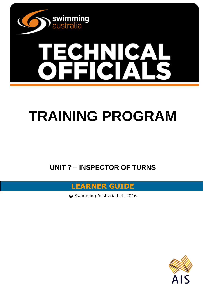

# **SHNICA**

# **TRAINING PROGRAM**

**UNIT 7 – INSPECTOR OF TURNS**



© Swimming Australia Ltd. 2016

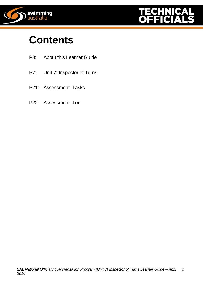



## **Contents**

- P3: About this Learner Guide
- P7: Unit 7: Inspector of Turns
- P21: Assessment Tasks
- P22: Assessment Tool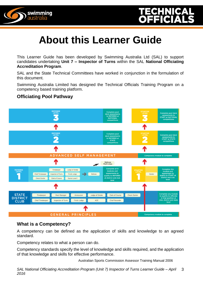

# **About this Learner Guide**

This Learner Guide has been developed by Swimming Australia Ltd (SAL) to support candidates undertaking **Unit 7 – Inspector of Turns** within the SAL **National Officiating Accreditation Program**.

SAL and the State Technical Committees have worked in conjunction in the formulation of this document.

Swimming Australia Limited has designed the Technical Officials Training Program on a competency based training platform.

#### **Officiating Pool Pathway**



#### **What is a Competency?**

A competency can be defined as the application of skills and knowledge to an agreed standard.

Competency relates to what a person can do.

Competency standards specify the level of knowledge and skills required, and the application of that knowledge and skills for effective performance.

Australian Sports Commission Assessor Training Manual 2006

*SAL National Officiating Accreditation Program (Unit 7) Inspector of Turns Learner Guide – April 2016* 3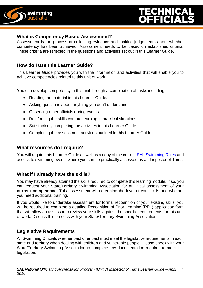

#### **What is Competency Based Assessment?**

Assessment is the process of collecting evidence and making judgements about whether competency has been achieved. Assessment needs to be based on established criteria. These criteria are reflected in the questions and activities set out in this Learner Guide.

#### **How do I use this Learner Guide?**

This Learner Guide provides you with the information and activities that will enable you to achieve competencies related to this unit of work.

You can develop competency in this unit through a combination of tasks including:

- Reading the material in this Learner Guide.
- Asking questions about anything you don't understand.
- Observing other officials during events.
- Reinforcing the skills you are learning in practical situations.
- Satisfactorily completing the activities in this Learner Guide.
- Completing the assessment activities outlined in this Learner Guide.

#### **What resources do I require?**

You will require this Learner Guide as well as a copy of the current SAL [Swimming Rules](http://www.swimming.org.au/visageimages/1_SAL/Rules/SAL%20Swimming%20Rules%20%20JAN%202014%20updated%2005.02.15.pdf) and access to swimming events where you can be practically assessed as an Inspector of Turns.

#### **What if I already have the skills?**

You may have already attained the skills required to complete this learning module. If so, you can request your State/Territory Swimming Association for an initial assessment of your **current competence.** This assessment will determine the level of your skills and whether you need additional training.

If you would like to undertake assessment for formal recognition of your existing skills, you will be required to complete a detailed Recognition of Prior Learning (RPL) application form that will allow an assessor to review your skills against the specific requirements for this unit of work. Discuss this process with your State/Territory Swimming Association

#### **Legislative Requirements**

All Swimming Officials whether paid or unpaid must meet the legislative requirements in each state and territory when dealing with children and vulnerable people. Please check with your State/Territory Swimming Association to complete any documentation required to meet this legislation.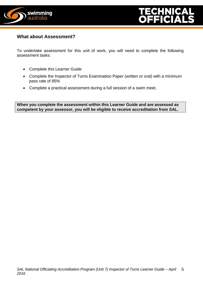



#### **What about Assessment?**

To undertake assessment for this unit of work, you will need to complete the following assessment tasks:

- Complete this Learner Guide
- Complete the Inspector of Turns Examination Paper (written or oral) with a minimum pass rate of 85%
- Complete a practical assessment during a full session of a swim meet.

**When you complete the assessment within this Learner Guide and are assessed as competent by your assessor, you will be eligible to receive accreditation from SAL.**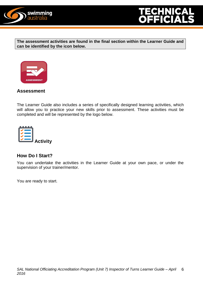

**The assessment activities are found in the final section within the Learner Guide and can be identified by the icon below.**



#### **Assessment**

The Learner Guide also includes a series of specifically designed learning activities, which will allow you to practice your new skills prior to assessment. These activities must be completed and will be represented by the logo below.



#### **How Do I Start?**

You can undertake the activities in the Learner Guide at your own pace, or under the supervision of your trainer/mentor.

You are ready to start.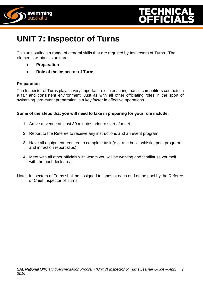



### **UNIT 7: Inspector of Turns**

This unit outlines a range of general skills that are required by Inspectors of Turns. The elements within this unit are:

- **Preparation**
- **Role of the Inspector of Turns**

#### **Preparation**

The Inspector of Turns plays a very important role in ensuring that all competitors compete in a fair and consistent environment. Just as with all other officiating roles in the sport of swimming, pre-event preparation is a key factor in effective operations.

#### **Some of the steps that you will need to take in preparing for your role include:**

- 1. Arrive at venue at least 30 minutes prior to start of meet.
- 2. Report to the Referee to receive any instructions and an event program.
- 3. Have all equipment required to complete task (e.g. rule book, whistle, pen, program and infraction report slips).
- 4. Meet with all other officials with whom you will be working and familiarise yourself with the pool-deck area.
- Note: Inspectors of Turns shall be assigned to lanes at each end of the pool by the Referee or Chief Inspector of Turns.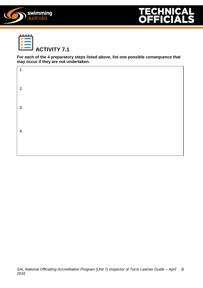





**For each of the 4 preparatory steps listed above, list one possible consequence that may occur if they are not undertaken.**

| 1. |  |  |  |
|----|--|--|--|
| 2. |  |  |  |
| 3. |  |  |  |
| 4. |  |  |  |
|    |  |  |  |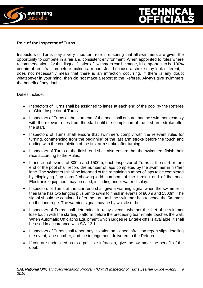



#### **Role of the Inspector of Turns**

Inspectors of Turns play a very important role in ensuring that all swimmers are given the opportunity to compete in a fair and consistent environment. When appointed to roles where recommendations for the disqualification of swimmers can be made, it is important to be 100% certain of an infraction before making a report. Just because a stroke may look different, it does not necessarily mean that there is an infraction occurring. If there is any doubt whatsoever in your mind, then **do not** make a report to the Referee. Always give swimmers the benefit of any doubt.

Duties include:

- Inspectors of Turns shall be assigned to lanes at each end of the pool by the Referee or Chief Inspector of Turns.
- Inspectors of Turns at the start end of the pool shall ensure that the swimmers comply with the relevant rules from the start until the completion of the first arm stroke after the start.
- Inspectors of Turns shall ensure that swimmers comply with the relevant rules for turning, commencing from the beginning of the last arm stroke before the touch and ending with the completion of the first arm stroke after turning.
- Inspectors of Turns at the finish end shall also ensure that the swimmers finish their race according to the Rules.
- In individual events of 800m and 1500m, each Inspector of Turns at the start or turn end of the pool shall record the number of laps completed by the swimmer in his/her lane. The swimmers shall be informed of the remaining number of laps to be completed by displaying "lap cards" showing odd numbers at the turning end of the pool. Electronic equipment may be used, including under water display.
- Inspectors of Turns at the start end shall give a warning signal when the swimmer in their lane has two lengths plus 5m to swim to finish in events of 800m and 1500m. The signal should be continued after the turn until the swimmer has reached the 5m mark on the lane rope. The warning signal may be by whistle or bell.
- Inspectors of Turns shall determine, in relay events, whether the feet of a swimmer lose touch with the starting platform before the preceding team-mate touches the wall. When Automatic Officiating Equipment which judges relay take-offs is available, it shall be used in accordance with SW 13.1.
- Inspectors of Turns shall report any violation on signed infraction report slips detailing the event, lane number, and the infringement delivered to the Referee.
- If you are undecided as to a possible infraction, give the swimmer the benefit of the doubt.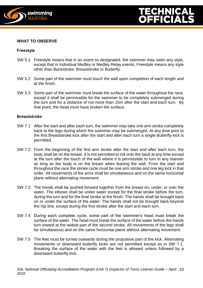



#### **WHAT TO OBSERVE**

#### **Freestyle**

- SW 5.1 Freestyle means that in an event so designated, the swimmer may swim any style, except that in Individual Medley or Medley Relay events, Freestyle means any style other than Backstroke, Breaststroke or Butterfly.
- SW 5.2 Some part of the swimmer must touch the wall upon completion of each length and at the finish.
- SW 5.3 Some part of the swimmer must break the surface of the water throughout the race, except it shall be permissible for the swimmer to be completely submerged during the turn and for a distance of not more than 15m after the start and each turn. By that point, the head must have broken the surface.

#### **Breaststroke**

- SW 7.1 After the start and after each turn, the swimmer may take one arm stroke completely back to the legs during which the swimmer may be submerged. At any time prior to the first Breaststroke kick after the start and after each turn a single Butterfly kick is permitted.
- SW 7.2 From the beginning of the first arm stroke after the start and after each turn, the body shall be on the breast. It is not permitted to roll onto the back at any time except at the turn after the touch of the wall where it is permissible to turn in any manner as long as the body is on the breast when leaving the wall. From the start and throughout the race the stroke cycle must be one arm stroke and one leg kick in that order. All movements of the arms shall be simultaneous and on the same horizontal plane without alternating movement.
- SW 7.3 The hands shall be pushed forward together from the breast on, under, or over the water. The elbows shall be under water except for the final stroke before the turn, during the turn and for the final stroke at the finish. The hands shall be brought back on or under the surface of the water. The hands shall not be brought back beyond the hip line, except during the first stroke after the start and each turn.
- SW 7.4 During each complete cycle, some part of the swimmer's head must break the surface of the water. The head must break the surface of the water before the hands turn inward at the widest part of the second stroke. All movements of the legs shall be simultaneous and on the same horizontal plane without alternating movement.
- SW 7.5 The feet must be turned outwards during the propulsive part of the kick. Alternating movements or downward butterfly kicks are not permitted except as in SW 7.1. Breaking the surface of the water with the feet is allowed unless followed by a downward butterfly kick.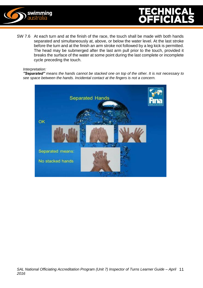



SW 7.6 At each turn and at the finish of the race, the touch shall be made with both hands separated and simultaneously at, above, or below the water level. At the last stroke before the turn and at the finish an arm stroke not followed by a leg kick is permitted. The head may be submerged after the last arm pull prior to the touch, provided it breaks the surface of the water at some point during the last complete or incomplete cycle preceding the touch.

#### *Interpretation:*

*"Separated" means the hands cannot be stacked one on top of the other. It is not necessary to see space between the hands. Incidental contact at the fingers is not a concern.*

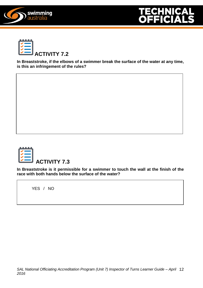





**In Breaststroke, if the elbows of a swimmer break the surface of the water at any time, is this an infringement of the rules?** 



**In Breaststroke is it permissible for a swimmer to touch the wall at the finish of the race with both hands below the surface of the water?**

YES / NO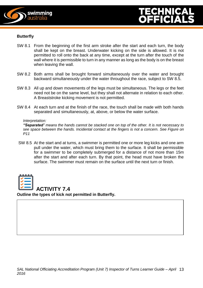



#### **Butterfly**

- SW 8.1 From the beginning of the first arm stroke after the start and each turn, the body shall be kept on the breast. Underwater kicking on the side is allowed. It is not permitted to roll onto the back at any time, except at the turn after the touch of the wall where it is permissible to turn in any manner as long as the body is on the breast when leaving the wall.
- SW 8.2 Both arms shall be brought forward simultaneously over the water and brought backward simultaneously under the water throughout the race, subject to SW 8.5.
- SW 8.3 All up and down movements of the legs must be simultaneous. The legs or the feet need not be on the same level, but they shall not alternate in relation to each other. A Breaststroke kicking movement is not permitted.
- SW 8.4 At each turn and at the finish of the race, the touch shall be made with both hands separated and simultaneously, at, above, or below the water surface.

#### *Interpretation:*

*"Separated" means the hands cannot be stacked one on top of the other. It is not necessary to see space between the hands. Incidental contact at the fingers is not a concern. See Figure on P11*

SW 8.5 At the start and at turns, a swimmer is permitted one or more leg kicks and one arm pull under the water, which must bring them to the surface. It shall be permissible for a swimmer to be completely submerged for a distance of not more than 15m after the start and after each turn. By that point, the head must have broken the surface. The swimmer must remain on the surface until the next turn or finish.



**ACTIVITY 7.4 Outline the types of kick not permitted in Butterfly.**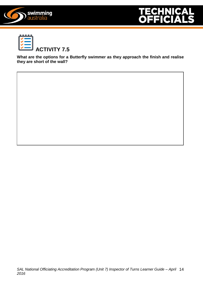





**What are the options for a Butterfly swimmer as they approach the finish and realise they are short of the wall?**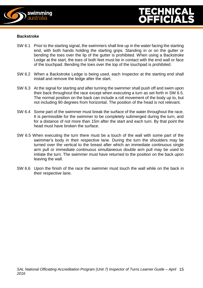

#### **Backstroke**

- SW 6.1 Prior to the starting signal, the swimmers shall line up in the water facing the starting end, with both hands holding the starting grips. Standing in or on the gutter or bending the toes over the lip of the gutter is prohibited. When using a Backstroke Ledge at the start, the toes of both feet must be in contact with the end wall or face of the touchpad. Bending the toes over the top of the touchpad is prohibited.
- SW 6.2 When a Backstroke Ledge is being used, each Inspector at the starting end shall install and remove the ledge after the start.
- SW 6.3 At the signal for starting and after turning the swimmer shall push off and swim upon their back throughout the race except when executing a turn as set forth in SW 6.5. The normal position on the back can include a roll movement of the body up to, but not including 90 degrees from horizontal. The position of the head is not relevant.
- SW 6.4 Some part of the swimmer must break the surface of the water throughout the race. It is permissible for the swimmer to be completely submerged during the turn, and for a distance of not more than 15m after the start and each turn. By that point the head must have broken the surface.
- SW 6.5 When executing the turn there must be a touch of the wall with some part of the swimmer's body in their respective lane. During the turn the shoulders may be turned over the vertical to the breast after which an immediate continuous single arm pull or immediate continuous simultaneous double arm pull may be used to initiate the turn. The swimmer must have returned to the position on the back upon leaving the wall.
- SW 6.6 Upon the finish of the race the swimmer must touch the wall while on the back in their respective lane.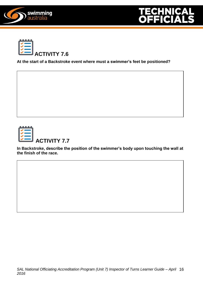





**At the start of a Backstroke event where must a swimmer's feet be positioned?**



**ACTIVITY 7.7**

**In Backstroke, describe the position of the swimmer's body upon touching the wall at the finish of the race.**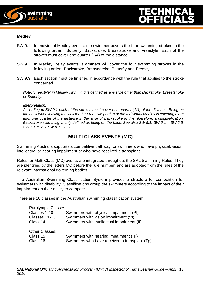

#### **Medley**

- SW 9.1 In Individual Medley events, the swimmer covers the four swimming strokes in the following order: Butterfly, Backstroke, Breaststroke and Freestyle. Each of the strokes must cover one quarter (1/4) of the distance.
- SW 9.2 In Medley Relay events, swimmers will cover the four swimming strokes in the following order: Backstroke, Breaststroke, Butterfly and Freestyle.
- SW 9.3 Each section must be finished in accordance with the rule that applies to the stroke concerned.

*Note: "Freestyle" in Medley swimming is defined as any style other than Backstroke, Breaststroke or Butterfly.*

*Interpretation:*

*According to SW 9.1 each of the strokes must cover one quarter (1/4) of the distance. Being on the back when leaving the wall for the Freestyle portion of the Individual Medley is covering more than one quarter of the distance in the style of Backstroke and is, therefore, a disqualification. Backstroke swimming is only defined as being on the back. See also SW 5.1, SW 6.1 – SW 6.5, SW 7.1 to 7.6, SW 8.1 – 8.5*

#### **MULTI CLASS EVENTS (MC)**

Swimming Australia supports a competitive pathway for swimmers who have physical, vision, intellectual or hearing impairment or who have received a transplant.

Rules for Multi Class (MC) events are integrated throughout the SAL Swimming Rules. They are identified by the letters MC before the rule number, and are adopted from the rules of the relevant international governing bodies.

The Australian Swimming Classification System provides a structure for competition for swimmers with disability. Classifications group the swimmers according to the impact of their impairment on their ability to compete.

There are 16 classes in the Australian swimming classification system:

| Paralympic Classes: |                                              |
|---------------------|----------------------------------------------|
| Classes 1-10        | Swimmers with physical impairment (PI)       |
| Classes 11-13       | Swimmers with vision impairment (VI)         |
| Class 14            | Swimmers with intellectual impairment (II)   |
| Other Classes:      |                                              |
| Class 15            | Swimmers with hearing impairment (HI)        |
| Class 16            | Swimmers who have received a transplant (Tp) |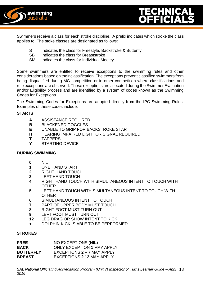



Swimmers receive a class for each stroke discipline. A prefix indicates which stroke the class applies to. The stoke classes are designated as follows:

- S Indicates the class for Freestyle, Backstroke & Butterfly<br>SB Indicates the class for Breaststroke
- Indicates the class for Breaststroke
- SM Indicates the class for Individual Medley

Some swimmers are entitled to receive exceptions to the swimming rules and other considerations based on their classification. The exceptions prevent classified swimmers from being disqualified during MC competition or in other competition where classifications and rule exceptions are observed. These exceptions are allocated during the Swimmer Evaluation and/or Eligibility process and are identified by a system of codes known as the Swimming Codes for Exceptions.

The Swimming Codes for Exceptions are adopted directly from the IPC Swimming Rules. Examples of these codes include:

#### **STARTS**

- **A** ASSISTANCE REQUIRED
- **B** BLACKENED GOGGLES
- **E** UNABLE TO GRIP FOR BACKSTROKE START
- **H** HEARING IMPAIRED LIGHT OR SIGNAL REQUIRED
- **T** TAPPERS
- **Y** STARTING DEVICE

#### **DURING SWIMMING**

- **0** NIL
- **1** ONE HAND START
- **2** RIGHT HAND TOUCH
- **3** LEFT HAND TOUCH
- **4** RIGHT HAND TOUCH WITH SIMULTANEOUS INTENT TO TOUCH WITH **OTHER**
- **5** LEFT HAND TOUCH WITH SIMULTANEOUS INTENT TO TOUCH WITH **OTHER**
- **6** SIMULTANEOUS INTENT TO TOUCH
- **7** PART OF UPPER BODY MUST TOUCH
- **8** RIGHT FOOT MUST TURN OUT
- **9** LEFT FOOT MUST TURN OUT
- **12** LEG DRAG OR SHOW INTENT TO KICK
- **+** DOLPHIN KICK IS ABLE TO BE PERFORMED

#### **STROKES**

| <b>FREE</b>      | NO EXCEPTIONS (NIL)               |
|------------------|-----------------------------------|
| <b>BACK</b>      | <b>ONLY EXCEPTION 1 MAY APPLY</b> |
| <b>BUTTERFLY</b> | EXCEPTIONS 2 - 7 MAY APPLY        |
| <b>BREAST</b>    | <b>EXCEPTIONS 2 12 MAY APPLY</b>  |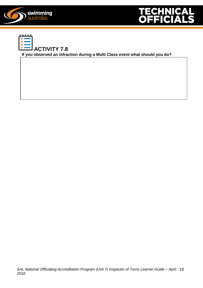





**If you observed an infraction during a Multi Class event what should you do?**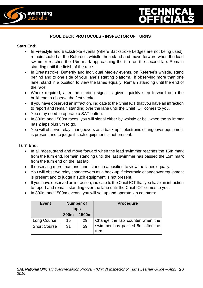



#### **POOL DECK PROTOCOLS - INSPECTOR OF TURNS**

#### **Start End:**

- In Freestyle and Backstroke events (where Backstroke Ledges are not being used), remain seated at the Referee's whistle then stand and move forward when the lead swimmer reaches the 15m mark approaching the turn on the second lap. Remain standing until the finish of the race.
- In Breaststroke, Butterfly and Individual Medley events, on Referee's whistle, stand behind and to one side of your lane's starting platform. If observing more than one lane, stand in a position to view the lanes equally. Remain standing until the end of the race.
- Where required, after the starting signal is given, quickly step forward onto the bulkhead to observe the first stroke.
- If you have observed an infraction, indicate to the Chief IOT that you have an infraction to report and remain standing over the lane until the Chief IOT comes to you.
- You may need to operate a SAT button.
- In 800m and 1500m races, you will signal either by whistle or bell when the swimmer has 2 laps plus 5m to go.
- You will observe relay changeovers as a back-up if electronic changeover equipment is present and to judge if such equipment is not present.

#### **Turn End:**

- In all races, stand and move forward when the lead swimmer reaches the 15m mark from the turn end. Remain standing until the last swimmer has passed the 15m mark from the turn end on the last lap.
- If observing more than one lane, stand in a position to view the lanes equally.
- You will observe relay changeovers as a back-up if electronic changeover equipment is present and to judge if such equipment is not present.
- If you have observed an infraction, indicate to the Chief IOT that you have an infraction to report and remain standing over the lane until the Chief IOT comes to you.
- In 800m and 1500m events, you will set up and operate lap counters:

| <b>Event</b>        | <b>Number of</b><br>laps |       | <b>Procedure</b>                |  |
|---------------------|--------------------------|-------|---------------------------------|--|
|                     | 800m                     | 1500m |                                 |  |
| Long Course         | 15                       | 29    | Change the lap counter when the |  |
| <b>Short Course</b> | 31                       | 59    | swimmer has passed 5m after the |  |
|                     |                          |       | turn.                           |  |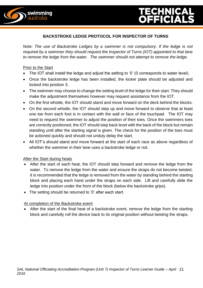

#### **BACKSTROKE LEDGE PROTOCOL FOR INSPECTOR OF TURNS**

*Note: The use of Backstroke Ledges by a swimmer is not compulsory. If the ledge is not required by a swimmer they should request the Inspector of Turns (IOT) appointed to that lane to remove the ledge from the water. The swimmer should not attempt to remove the ledge.*

#### Prior to the Start

- The IOT shall install the ledge and adjust the setting to '0' (0 corresponds to water level).
- Once the backstroke ledge has been installed, the kicker plate should be adjusted and locked into position 3.
- The swimmer may choose to change the setting level of the ledge for their start. They should make the adjustment themselves however may request assistance from the IOT.
- On the first whistle, the IOT should stand and move forward on the deck behind the blocks.
- On the second whistle, the IOT should step up and move forward to observe that at least one toe from each foot is in contact with the wall or face of the touchpad. The IOT may need to request the swimmer to adjust the position of their toes. Once the swimmers toes are correctly positioned, the IOT should step back level with the back of the block but remain standing until after the starting signal is given. The check for the position of the toes must be actioned quickly and should not unduly delay the start.
- All IOT's should stand and move forward at the start of each race as above regardless of whether the swimmer in their lane uses a backstroke ledge or not.

#### **After the Start during heats**

- After the start of each heat, the IOT should step forward and remove the ledge from the water. To remove the ledge from the water and ensure the straps do not become twisted, it is recommended that the ledge is removed from the water by standing behind the starting block and placing each hand under the straps on each side. Lift and carefully slide the ledge into position under the front of the block (below the backstroke grips).
- The setting should be returned to '0' after each start.

#### At completion of the Backstroke event

 After the start of the final heat of a backstroke event, remove the ledge from the starting block and carefully roll the device back to its original position without twisting the straps.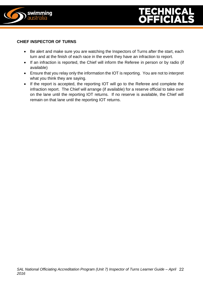

#### **CHIEF INSPECTOR OF TURNS**

- Be alert and make sure you are watching the Inspectors of Turns after the start, each turn and at the finish of each race in the event they have an infraction to report.
- If an infraction is reported, the Chief will inform the Referee in person or by radio (if available)
- Ensure that you relay only the information the IOT is reporting. You are not to interpret what you think they are saying.
- If the report is accepted, the reporting IOT will go to the Referee and complete the infraction report. The Chief will arrange (if available) for a reserve official to take over on the lane until the reporting IOT returns. If no reserve is available, the Chief will remain on that lane until the reporting IOT returns.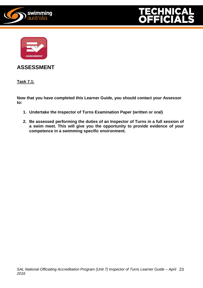





**ASSESSMENT**

**Task 7.1:**

**Now that you have completed this Learner Guide, you should contact your Assessor to:**

- **1. Undertake the Inspector of Turns Examination Paper (written or oral)**
- **2. Be assessed performing the duties of an Inspector of Turns in a full session of a swim meet. This will give you the opportunity to provide evidence of your competence in a swimming specific environment.**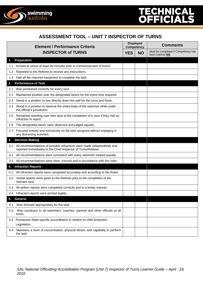

#### **ASSESSMENT TOOL – UNIT 7 INSPECTOR OF TURNS**

|               | <b>Element / Performance Criteria</b><br><b>INSPECTOR of TURNS</b>                                                                       |  | <b>Displayed</b><br><b>Competency</b> | <b>Comments</b>                                       |  |
|---------------|------------------------------------------------------------------------------------------------------------------------------------------|--|---------------------------------------|-------------------------------------------------------|--|
|               |                                                                                                                                          |  | <b>NO</b>                             | Must be completed if Competency has<br>been marked NO |  |
| 1.            | Preparation                                                                                                                              |  |                                       |                                                       |  |
| 1.1           | Arrived at venue at least 30 minutes prior to commencement of event.                                                                     |  |                                       |                                                       |  |
| $1.2^{\circ}$ | Reported to the Referee to receive any instructions.                                                                                     |  |                                       |                                                       |  |
| 1.3           | Had all the required equipment to complete the task.                                                                                     |  |                                       |                                                       |  |
| 2.            | <b>Performance of Task</b>                                                                                                               |  |                                       |                                                       |  |
| 2.1           | Was positioned correctly for every race.                                                                                                 |  |                                       |                                                       |  |
| 2.2           | Maintained position over the designated lane/s for the entire time required.                                                             |  |                                       |                                                       |  |
| 2.3           | Stood in a position to see directly down the wall for the turns and finish.                                                              |  |                                       |                                                       |  |
| 2.4           | Stood in a position to observe the entire body of the swimmer while under<br>the official's jurisdiction.                                |  |                                       |                                                       |  |
| 2.5           | Remained standing over their lane at the completion of a race if they had an<br>infraction to report.                                    |  |                                       |                                                       |  |
| 2.6           | The designated lane/s were observed and judged equally.                                                                                  |  |                                       |                                                       |  |
| 2.7           | Focused entirely and exclusively on the task assigned without engaging in<br>any distracting activities.                                 |  |                                       |                                                       |  |
| 3.            | <b>Decision Making</b>                                                                                                                   |  |                                       |                                                       |  |
| 3.1           | All recommendations of possible infractions were made independently and<br>reported immediately to the Chief Inspector of Turns/Referee. |  |                                       |                                                       |  |
|               | 3.2 All recommendations were consistent with every swimmer treated equally.                                                              |  |                                       |                                                       |  |
| 3.3           | All recommendations were clear, concise and in accordance with the rules.                                                                |  |                                       |                                                       |  |
| 4.            | <b>Infraction Reports</b>                                                                                                                |  |                                       |                                                       |  |
| 4.1           | All infraction reports were completed accurately and according to the Rules.                                                             |  |                                       |                                                       |  |
|               | 4.2 Verbal reports were given to the Referee prior to the completion of the<br>relevant race.                                            |  |                                       |                                                       |  |
|               | 4.3 All written reports were completed correctly and in a timely manner.                                                                 |  |                                       |                                                       |  |
|               | 4.4 Infraction reports were printed legibly.                                                                                             |  |                                       |                                                       |  |
| 5.            | General                                                                                                                                  |  |                                       |                                                       |  |
| 5.1           | Was dressed appropriately for the task.                                                                                                  |  |                                       |                                                       |  |
| 5.2           | Was courteous to all swimmers, coaches, parents and other officials at all<br>times.                                                     |  |                                       |                                                       |  |
| 5.3           | Possesses State-specific accreditation in relation to child protection<br>Legislation.                                                   |  |                                       |                                                       |  |
| 5.4           | Maintains a level of concentration, physical fitness and capability to perform<br>the task.                                              |  |                                       |                                                       |  |